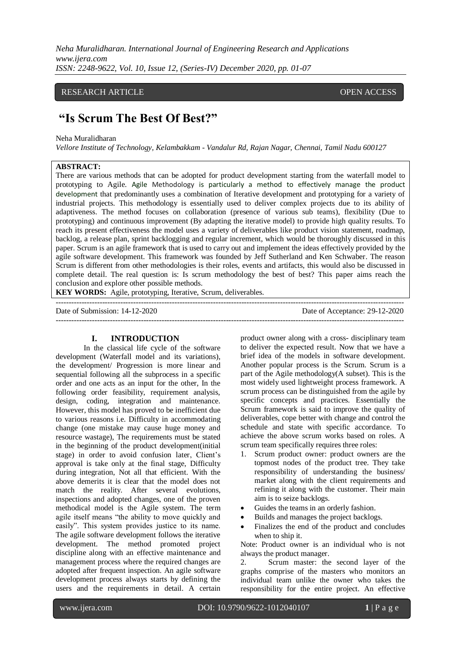*Neha Muralidharan. International Journal of Engineering Research and Applications www.ijera.com ISSN: 2248-9622, Vol. 10, Issue 12, (Series-IV) December 2020, pp. 01-07*

## RESEARCH ARTICLE **CONTRACT ARTICLE**

# **"Is Scrum The Best Of Best?"**

#### Neha Muralidharan

*Vellore Institute of Technology, Kelambakkam - Vandalur Rd, Rajan Nagar, Chennai, Tamil Nadu 600127*

## **ABSTRACT:**

There are various methods that can be adopted for product development starting from the waterfall model to prototyping to Agile. Agile Methodology is particularly a method to effectively manage the product development that predominantly uses a combination of Iterative development and prototyping for a variety of industrial projects. This methodology is essentially used to deliver complex projects due to its ability of adaptiveness. The method focuses on collaboration (presence of various sub teams), flexibility (Due to prototyping) and continuous improvement (By adapting the iterative model) to provide high quality results. To reach its present effectiveness the model uses a variety of deliverables like product vision statement, roadmap, backlog, a release plan, sprint backlogging and regular increment, which would be thoroughly discussed in this paper. Scrum is an agile framework that is used to carry out and implement the ideas effectively provided by the agile software development. This framework was founded by Jeff Sutherland and Ken Schwaber. The reason Scrum is different from other methodologies is their roles, events and artifacts, this would also be discussed in complete detail. The real question is: Is scrum methodology the best of best? This paper aims reach the conclusion and explore other possible methods.

---------------------------------------------------------------------------------------------------------------------------------------

**KEY WORDS:** Agile, prototyping, Iterative, Scrum, deliverables.

Date of Submission: 14-12-2020 Date of Acceptance: 29-12-2020

---------------------------------------------------------------------------------------------------------------------------------------

## **I. INTRODUCTION**

In the classical life cycle of the software development (Waterfall model and its variations), the development/ Progression is more linear and sequential following all the subprocess in a specific order and one acts as an input for the other, In the following order feasibility, requirement analysis, design, coding, integration and maintenance. However, this model has proved to be inefficient due to various reasons i.e. Difficulty in accommodating change (one mistake may cause huge money and resource wastage), The requirements must be stated in the beginning of the product development(initial stage) in order to avoid confusion later, Client's approval is take only at the final stage, Difficulty during integration, Not all that efficient. With the above demerits it is clear that the model does not match the reality. After several evolutions, inspections and adopted changes, one of the proven methodical model is the Agile system. The term agile itself means "the ability to move quickly and easily". This system provides justice to its name. The agile software development follows the iterative development. The method promoted project discipline along with an effective maintenance and management process where the required changes are adopted after frequent inspection. An agile software development process always starts by defining the users and the requirements in detail. A certain

product owner along with a cross- disciplinary team to deliver the expected result. Now that we have a brief idea of the models in software development. Another popular process is the Scrum. Scrum is a part of the Agile methodology(A subset). This is the most widely used lightweight process framework. A scrum process can be distinguished from the agile by specific concepts and practices. Essentially the Scrum framework is said to improve the quality of deliverables, cope better with change and control the schedule and state with specific accordance. To achieve the above scrum works based on roles. A scrum team specifically requires three roles:

- 1. Scrum product owner: product owners are the topmost nodes of the product tree. They take responsibility of understanding the business/ market along with the client requirements and refining it along with the customer. Their main aim is to seize backlogs.
- Guides the teams in an orderly fashion.
- Builds and manages the project backlogs.
- Finalizes the end of the product and concludes when to ship it.

Note: Product owner is an individual who is not always the product manager.

2. Scrum master: the second layer of the graphs comprise of the masters who monitors an individual team unlike the owner who takes the responsibility for the entire project. An effective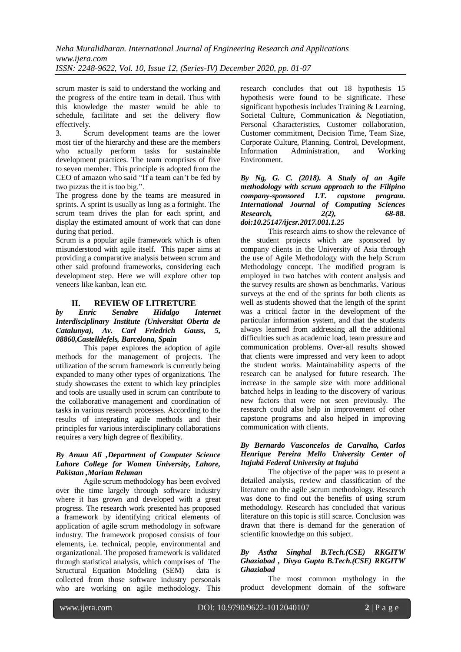scrum master is said to understand the working and the progress of the entire team in detail. Thus with this knowledge the master would be able to schedule, facilitate and set the delivery flow effectively.

3. Scrum development teams are the lower most tier of the hierarchy and these are the members who actually perform tasks for sustainable development practices. The team comprises of five to seven member. This principle is adopted from the CEO of amazon who said "If a team can't be fed by two pizzas the it is too big.".

The progress done by the teams are measured in sprints. A sprint is usually as long as a fortnight. The scrum team drives the plan for each sprint, and display the estimated amount of work that can done during that period.

Scrum is a popular agile framework which is often misunderstood with agile itself. This paper aims at providing a comparative analysis between scrum and other said profound frameworks, considering each development step. Here we will explore other top veneers like kanban, lean etc.

## **II. REVIEW OF LITRETURE**

## *by Enric Senabre Hidalgo Internet Interdisciplinary Institute (Universitat Oberta de Catalunya), Av. Carl Friedrich Gauss, 5, 08860,Castelldefels, Barcelona, Spain*

This paper explores the adoption of agile methods for the management of projects. The utilization of the scrum framework is currently being expanded to many other types of organizations. The study showcases the extent to which key principles and tools are usually used in scrum can contribute to the collaborative management and coordination of tasks in various research processes. According to the results of integrating agile methods and their principles for various interdisciplinary collaborations requires a very high degree of flexibility.

## *By Anum Ali ,Department of Computer Science Lahore College for Women University, Lahore, Pakistan ,Mariam Rehman*

Agile scrum methodology has been evolved over the time largely through software industry where it has grown and developed with a great progress. The research work presented has proposed a framework by identifying critical elements of application of agile scrum methodology in software industry. The framework proposed consists of four elements, i.e. technical, people, environmental and organizational. The proposed framework is validated through statistical analysis, which comprises of The Structural Equation Modeling (SEM) data is collected from those software industry personals who are working on agile methodology. This

research concludes that out 18 hypothesis 15 hypothesis were found to be significate. These significant hypothesis includes Training & Learning, Societal Culture, Communication & Negotiation, Personal Characteristics, Customer collaboration, Customer commitment, Decision Time, Team Size, Corporate Culture, Planning, Control, Development, Information Administration, and Working Environment.

## *By Ng, G. C. (2018). A Study of an Agile methodology with scrum approach to the Filipino company-sponsored I.T. capstone program. International Journal of Computing Sciences Research, 2(2), 68-88. doi:10.25147/ijcsr.2017.001.1.25*

This research aims to show the relevance of the student projects which are sponsored by company clients in the University of Asia through the use of Agile Methodology with the help Scrum Methodology concept. The modified program is employed in two batches with content analysis and the survey results are shown as benchmarks. Various surveys at the end of the sprints for both clients as well as students showed that the length of the sprint was a critical factor in the development of the particular information system, and that the students always learned from addressing all the additional difficulties such as academic load, team pressure and communication problems. Over-all results showed that clients were impressed and very keen to adopt the student works. Maintainability aspects of the research can be analysed for future research. The increase in the sample size with more additional batched helps in leading to the discovery of various new factors that were not seen previously. The research could also help in improvement of other capstone programs and also helped in improving communication with clients.

## *By Bernardo Vasconcelos de Carvalho, Carlos Henrique Pereira Mello University Center of Itajubá Federal University at Itajubá*

The objective of the paper was to present a detailed analysis, review and classification of the literature on the agile ,scrum methodology. Research was done to find out the benefits of using scrum methodology. Research has concluded that various literature on this topic is still scarce. Conclusion was drawn that there is demand for the generation of scientific knowledge on this subject.

## *By Astha Singhal B.Tech.(CSE) RKGITW Ghaziabad , Divya Gupta B.Tech.(CSE) RKGITW Ghaziabad*

The most common mythology in the product development domain of the software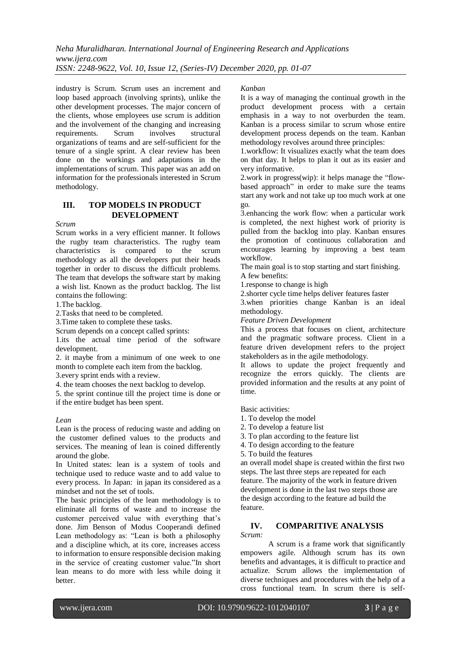*Neha Muralidharan. International Journal of Engineering Research and Applications www.ijera.com ISSN: 2248-9622, Vol. 10, Issue 12, (Series-IV) December 2020, pp. 01-07*

industry is Scrum. Scrum uses an increment and loop based approach (involving sprints), unlike the other development processes. The major concern of the clients, whose employees use scrum is addition and the involvement of the changing and increasing requirements. Scrum involves structural organizations of teams and are self-sufficient for the tenure of a single sprint. A clear review has been done on the workings and adaptations in the implementations of scrum. This paper was an add on information for the professionals interested in Scrum methodology.

## **III. TOP MODELS IN PRODUCT DEVELOPMENT**

*Scrum* 

Scrum works in a very efficient manner. It follows the rugby team characteristics. The rugby team characteristics is compared to the scrum methodology as all the developers put their heads together in order to discuss the difficult problems. The team that develops the software start by making a wish list. Known as the product backlog. The list contains the following:

1.The backlog.

2.Tasks that need to be completed.

3.Time taken to complete these tasks.

Scrum depends on a concept called sprints:

1.its the actual time period of the software development.

2. it maybe from a minimum of one week to one month to complete each item from the backlog.

3.every sprint ends with a review.

4. the team chooses the next backlog to develop.

5. the sprint continue till the project time is done or if the entire budget has been spent.

#### *Lean*

Lean is the process of reducing waste and adding on the customer defined values to the products and services. The meaning of lean is coined differently around the globe.

In United states: lean is a system of tools and technique used to reduce waste and to add value to every process. In Japan: in japan its considered as a mindset and not the set of tools.

The basic principles of the lean methodology is to eliminate all forms of waste and to increase the customer perceived value with everything that's done. Jim Benson of Modus Cooperandi defined Lean methodology as: "Lean is both a philosophy and a discipline which, at its core, increases access to information to ensure responsible decision making in the service of creating customer value."In short lean means to do more with less while doing it better.

#### *Kanban*

It is a way of managing the continual growth in the product development process with a certain emphasis in a way to not overburden the team. Kanban is a process similar to scrum whose entire development process depends on the team. Kanban methodology revolves around three principles:

1.workflow: It visualizes exactly what the team does on that day. It helps to plan it out as its easier and very informative.

2.work in progress(wip): it helps manage the "flowbased approach" in order to make sure the teams start any work and not take up too much work at one go.

3.enhancing the work flow: when a particular work is completed, the next highest work of priority is pulled from the backlog into play. Kanban ensures the promotion of continuous collaboration and encourages learning by improving a best team workflow.

The main goal is to stop starting and start finishing.

A few benefits:

1.response to change is high

2.shorter cycle time helps deliver features faster

3.when priorities change Kanban is an ideal methodology.

*Feature Driven Development*

This a process that focuses on client, architecture and the pragmatic software process. Client in a feature driven development refers to the project stakeholders as in the agile methodology.

It allows to update the project frequently and recognize the errors quickly. The clients are provided information and the results at any point of time.

Basic activities:

1. To develop the model

- 2. To develop a feature list
- 3. To plan according to the feature list
- 4. To design according to the feature
- 5. To build the features

an overall model shape is created within the first two steps. The last three steps are repeated for each feature. The majority of the work in feature driven development is done in the last two steps those are the design according to the feature ad build the feature.

## **IV. COMPARITIVE ANALYSIS**

*Scrum:* 

A scrum is a frame work that significantly empowers agile. Although scrum has its own benefits and advantages, it is difficult to practice and actualize. Scrum allows the implementation of diverse techniques and procedures with the help of a cross functional team. In scrum there is self-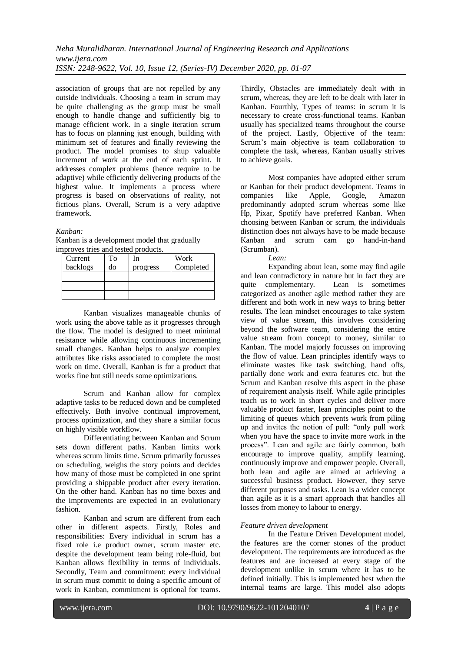association of groups that are not repelled by any outside individuals. Choosing a team in scrum may be quite challenging as the group must be small enough to handle change and sufficiently big to manage efficient work. In a single iteration scrum has to focus on planning just enough, building with minimum set of features and finally reviewing the product. The model promises to shup valuable increment of work at the end of each sprint. It addresses complex problems (hence require to be adaptive) while efficiently delivering products of the highest value. It implements a process where progress is based on observations of reality, not fictious plans. Overall, Scrum is a very adaptive framework.

## *Kanban:*

Kanban is a development model that gradually improves tries and tested products.

| Current  | Tо | In       | Work      |
|----------|----|----------|-----------|
| backlogs | do | progress | Completed |
|          |    |          |           |
|          |    |          |           |
|          |    |          |           |

Kanban visualizes manageable chunks of work using the above table as it progresses through the flow. The model is designed to meet minimal resistance while allowing continuous incrementing small changes. Kanban helps to analyze complex attributes like risks associated to complete the most work on time. Overall, Kanban is for a product that works fine but still needs some optimizations.

Scrum and Kanban allow for complex adaptive tasks to be reduced down and be completed effectively. Both involve continual improvement, process optimization, and they share a similar focus on highly visible workflow.

Differentiating between Kanban and Scrum sets down different paths. Kanban limits work whereas scrum limits time. Scrum primarily focusses on scheduling, weighs the story points and decides how many of those must be completed in one sprint providing a shippable product after every iteration. On the other hand. Kanban has no time boxes and the improvements are expected in an evolutionary fashion.

Kanban and scrum are different from each other in different aspects. Firstly, Roles and responsibilities: Every individual in scrum has a fixed role i.e product owner, scrum master etc. despite the development team being role-fluid, but Kanban allows flexibility in terms of individuals. Secondly, Team and commitment: every individual in scrum must commit to doing a specific amount of work in Kanban, commitment is optional for teams.

Thirdly, Obstacles are immediately dealt with in scrum, whereas, they are left to be dealt with later in Kanban. Fourthly, Types of teams: in scrum it is necessary to create cross-functional teams. Kanban usually has specialized teams throughout the course of the project. Lastly, Objective of the team: Scrum's main objective is team collaboration to complete the task, whereas, Kanban usually strives to achieve goals.

Most companies have adopted either scrum or Kanban for their product development. Teams in companies like Apple, Google, Amazon predominantly adopted scrum whereas some like Hp, Pixar, Spotify have preferred Kanban. When choosing between Kanban or scrum, the individuals distinction does not always have to be made because Kanban and scrum cam go hand-in-hand (Scrumban).

*Lean:* 

Expanding about lean, some may find agile and lean contradictory in nature but in fact they are quite complementary. Lean is sometimes categorized as another agile method rather they are different and both work in new ways to bring better results. The lean mindset encourages to take system view of value stream, this involves considering beyond the software team, considering the entire value stream from concept to money, similar to Kanban. The model majorly focusses on improving the flow of value. Lean principles identify ways to eliminate wastes like task switching, hand offs, partially done work and extra features etc. but the Scrum and Kanban resolve this aspect in the phase of requirement analysis itself. While agile principles teach us to work in short cycles and deliver more valuable product faster, lean principles point to the limiting of queues which prevents work from piling up and invites the notion of pull: "only pull work when you have the space to invite more work in the process". Lean and agile are fairly common, both encourage to improve quality, amplify learning, continuously improve and empower people. Overall, both lean and agile are aimed at achieving a successful business product. However, they serve different purposes and tasks. Lean is a wider concept than agile as it is a smart approach that handles all losses from money to labour to energy.

## *Feature driven development*

In the Feature Driven Development model, the features are the corner stones of the product development. The requirements are introduced as the features and are increased at every stage of the development unlike in scrum where it has to be defined initially. This is implemented best when the internal teams are large. This model also adopts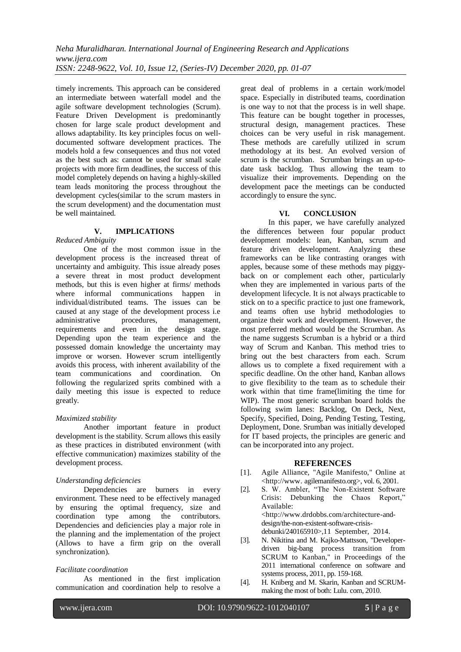timely increments. This approach can be considered an intermediate between waterfall model and the agile software development technologies (Scrum). Feature Driven Development is predominantly chosen for large scale product development and allows adaptability. Its key principles focus on welldocumented software development practices. The models hold a few consequences and thus not voted as the best such as: cannot be used for small scale projects with more firm deadlines, the success of this model completely depends on having a highly-skilled team leads monitoring the process throughout the development cycles(similar to the scrum masters in the scrum development) and the documentation must be well maintained.

## **V. IMPLICATIONS**

### *Reduced Ambiguity*

One of the most common issue in the development process is the increased threat of uncertainty and ambiguity. This issue already poses a severe threat in most product development methods, but this is even higher at firms/ methods where informal communications happen in individual/distributed teams. The issues can be caused at any stage of the development process i.e administrative procedures, management, requirements and even in the design stage. Depending upon the team experience and the possessed domain knowledge the uncertainty may improve or worsen. However scrum intelligently avoids this process, with inherent availability of the team communications and coordination. On following the regularized sprits combined with a daily meeting this issue is expected to reduce greatly.

#### *Maximized stability*

Another important feature in product development is the stability. Scrum allows this easily as these practices in distributed environment (with effective communication) maximizes stability of the development process.

#### *Understanding deficiencies*

Dependencies are burners in every environment. These need to be effectively managed by ensuring the optimal frequency, size and coordination type among the contributors. Dependencies and deficiencies play a major role in the planning and the implementation of the project (Allows to have a firm grip on the overall synchronization).

## *Facilitate coordination*

As mentioned in the first implication communication and coordination help to resolve a great deal of problems in a certain work/model space. Especially in distributed teams, coordination is one way to not that the process is in well shape. This feature can be bought together in processes, structural design, management practices. These choices can be very useful in risk management. These methods are carefully utilized in scrum methodology at its best. An evolved version of scrum is the scrumban. Scrumban brings an up-todate task backlog. Thus allowing the team to visualize their improvements. Depending on the development pace the meetings can be conducted accordingly to ensure the sync.

## **VI. CONCLUSION**

In this paper, we have carefully analyzed the differences between four popular product development models: lean, Kanban, scrum and feature driven development. Analyzing these frameworks can be like contrasting oranges with apples, because some of these methods may piggyback on or complement each other, particularly when they are implemented in various parts of the development lifecycle. It is not always practicable to stick on to a specific practice to just one framework, and teams often use hybrid methodologies to organize their work and development. However, the most preferred method would be the Scrumban. As the name suggests Scrumban is a hybrid or a third way of Scrum and Kanban. This method tries to bring out the best characters from each. Scrum allows us to complete a fixed requirement with a specific deadline. On the other hand, Kanban allows to give flexibility to the team as to schedule their work within that time frame(limiting the time for WIP). The most generic scrumban board holds the following swim lanes: Backlog, On Deck, Next, Specify, Specified, Doing, Pending Testing, Testing, Deployment, Done. Srumban was initially developed for IT based projects, the principles are generic and can be incorporated into any project.

## **REFERENCES**

- [1]. Agile Alliance, "Agile Manifesto," Online at <http://www. agilemanifesto.org>, vol. 6, 2001.
- [2]. S. W. Ambler, "The Non-Existent Software Crisis: Debunking the Chaos Report," Available: <http://www.drdobbs.com/architecture-anddesign/the-non-existent-software-crisisdebunki/240165910>,11 September, 2014.
- [3]. N. Nikitina and M. Kajko-Mattsson, "Developerdriven big-bang process transition from SCRUM to Kanban," in Proceedings of the 2011 international conference on software and systems process, 2011, pp. 159-168.
- [4]. H. Kniberg and M. Skarin, Kanban and SCRUMmaking the most of both: Lulu. com, 2010.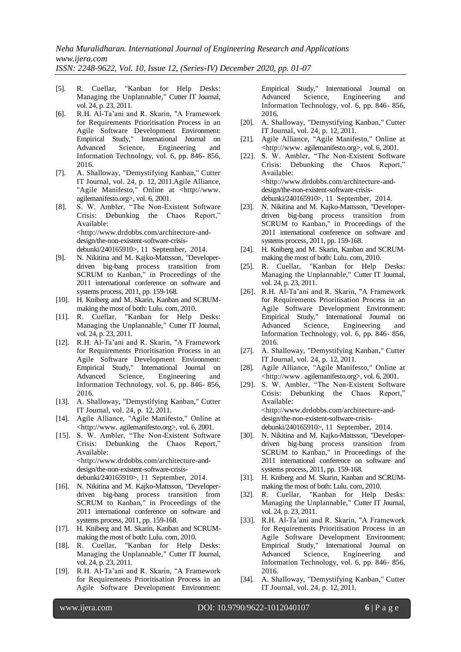- [5]. R. Cuellar, "Kanban for Help Desks: Managing the Unplannable," Cutter IT Journal, vol. 24, p. 23, 2011.
- [6]. R.H. Al-Ta'ani and R. Skarin, "A Framework for Requirements Prioritisation Process in an Agile Software Development Environment: Empirical Study," International Journal on Advanced Science, Engineering and Information Technology, vol. 6, pp. 846- 856, 2016.
- [7]. A. Shalloway, "Demystifying Kanban," Cutter IT Journal, vol. 24, p. 12, 2011.Agile Alliance, "Agile Manifesto," Online at <http://www. agilemanifesto.org>, vol. 6, 2001.
- [8]. S. W. Ambler, "The Non-Existent Software Crisis: Debunking the Chaos Report," Available: <http://www.drdobbs.com/architecture-anddesign/the-non-existent-software-crisisdebunki/240165910>, 11 September, 2014.
- [9]. N. Nikitina and M. Kajko-Mattsson, "Developerdriven big-bang process transition from SCRUM to Kanban," in Proceedings of the 2011 international conference on software and systems process, 2011, pp. 159-168.
- [10]. H. Kniberg and M. Skarin, Kanban and SCRUMmaking the most of both: Lulu. com, 2010.
- [11]. R. Cuellar, "Kanban for Help Desks: Managing the Unplannable," Cutter IT Journal, vol. 24, p. 23, 2011.
- [12]. R.H. Al-Ta'ani and R. Skarin, "A Framework for Requirements Prioritisation Process in an Agile Software Development Environment: Empirical Study," International Journal on Advanced Science, Engineering and Information Technology, vol. 6, pp. 846- 856, 2016.
- [13]. A. Shalloway, "Demystifying Kanban," Cutter IT Journal, vol. 24, p. 12, 2011.
- [14]. Agile Alliance, "Agile Manifesto," Online at <http://www. agilemanifesto.org>, vol. 6, 2001.
- [15]. S. W. Ambler, "The Non-Existent Software Crisis: Debunking the Chaos Report," Available: <http://www.drdobbs.com/architecture-anddesign/the-non-existent-software-crisisdebunki/240165910>, 11 September, 2014.
- [16]. N. Nikitina and M. Kajko-Mattsson, "Developerdriven big-bang process transition from SCRUM to Kanban," in Proceedings of the 2011 international conference on software and systems process, 2011, pp. 159-168.
- [17]. H. Kniberg and M. Skarin, Kanban and SCRUMmaking the most of both: Lulu. com, 2010.
- [18]. R. Cuellar, "Kanban for Help Desks: Managing the Unplannable," Cutter IT Journal, vol. 24, p. 23, 2011.
- [19]. R.H. Al-Ta'ani and R. Skarin, "A Framework for Requirements Prioritisation Process in an Agile Software Development Environment:

Empirical Study," International Journal on Advanced Science, Engineering and Information Technology, vol. 6, pp. 846- 856, 2016.

- [20]. A. Shalloway, "Demystifying Kanban," Cutter IT Journal, vol. 24, p. 12, 2011.
- [21]. Agile Alliance, "Agile Manifesto," Online at <http://www. agilemanifesto.org>, vol. 6, 2001.
- [22]. S. W. Ambler, "The Non-Existent Software Crisis: Debunking the Chaos Report," Available: <http://www.drdobbs.com/architecture-anddesign/the-non-existent-software-crisisdebunki/240165910>, 11 September, 2014.
- [23]. N. Nikitina and M. Kajko-Mattsson, "Developerdriven big-bang process transition from SCRUM to Kanban," in Proceedings of the 2011 international conference on software and systems process, 2011, pp. 159-168.
- [24]. H. Kniberg and M. Skarin, Kanban and SCRUMmaking the most of both: Lulu. com, 2010.
- [25]. R. Cuellar, "Kanban for Help Desks: Managing the Unplannable," Cutter IT Journal, vol. 24, p. 23, 2011.
- [26]. R.H. Al-Ta'ani and R. Skarin, "A Framework for Requirements Prioritisation Process in an Agile Software Development Environment: Empirical Study," International Journal on Advanced Science, Engineering and Information Technology, vol. 6, pp. 846- 856, 2016.
- [27]. A. Shalloway, "Demystifying Kanban," Cutter IT Journal, vol. 24, p. 12, 2011.
- [28]. Agile Alliance, "Agile Manifesto," Online at <http://www. agilemanifesto.org>, vol. 6, 2001.
- [29]. S. W. Ambler, "The Non-Existent Software Crisis: Debunking the Chaos Report," Available: <http://www.drdobbs.com/architecture-anddesign/the-non-existent-software-crisisdebunki/240165910>, 11 September, 2014.
- [30]. N. Nikitina and M. Kajko-Mattsson, "Developerdriven big-bang process transition from SCRUM to Kanban," in Proceedings of the 2011 international conference on software and systems process, 2011, pp. 159-168.
- [31]. H. Kniberg and M. Skarin, Kanban and SCRUMmaking the most of both: Lulu. com, 2010.
- [32]. R. Cuellar, "Kanban for Help Desks: Managing the Unplannable," Cutter IT Journal, vol. 24, p. 23, 2011.
- [33]. R.H. Al-Ta'ani and R. Skarin, "A Framework for Requirements Prioritisation Process in an Agile Software Development Environment: Empirical Study," International Journal on Advanced Science, Engineering and Information Technology, vol. 6, pp. 846- 856, 2016.
- [34]. A. Shalloway, "Demystifying Kanban," Cutter IT Journal, vol. 24, p. 12, 2011.